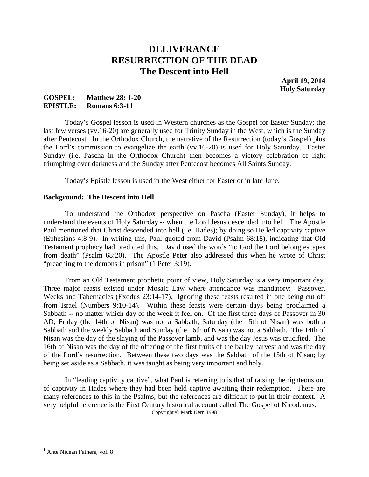# **DELIVERANCE RESURRECTION OF THE DEAD The Descent into Hell**

**April 19, 2014 Holy Saturday**

## **GOSPEL: Matthew 28: 1-20 EPISTLE: Romans 6:3-11**

Today's Gospel lesson is used in Western churches as the Gospel for Easter Sunday; the last few verses (vv.16-20) are generally used for Trinity Sunday in the West, which is the Sunday after Pentecost. In the Orthodox Church, the narrative of the Resurrection (today's Gospel) plus the Lord's commission to evangelize the earth (vv.16-20) is used for Holy Saturday. Easter Sunday (i.e. Pascha in the Orthodox Church) then becomes a victory celebration of light triumphing over darkness and the Sunday after Pentecost becomes All Saints Sunday.

Today's Epistle lesson is used in the West either for Easter or in late June.

## **Background: The Descent into Hell**

To understand the Orthodox perspective on Pascha (Easter Sunday), it helps to understand the events of Holy Saturday -- when the Lord Jesus descended into hell. The Apostle Paul mentioned that Christ descended into hell (i.e. Hades); by doing so He led captivity captive (Ephesians 4:8-9). In writing this, Paul quoted from David (Psalm 68:18), indicating that Old Testament prophecy had predicted this. David used the words "to God the Lord belong escapes from death" (Psalm 68:20). The Apostle Peter also addressed this when he wrote of Christ "preaching to the demons in prison" (1 Peter 3:19).

From an Old Testament prophetic point of view, Holy Saturday is a very important day. Three major feasts existed under Mosaic Law where attendance was mandatory: Passover, Weeks and Tabernacles (Exodus 23:14-17). Ignoring these feasts resulted in one being cut off from Israel (Numbers 9:10-14). Within these feasts were certain days being proclaimed a Sabbath -- no matter which day of the week it feel on. Of the first three days of Passover in 30 AD, Friday (the 14th of Nisan) was not a Sabbath, Saturday (the 15th of Nisan) was both a Sabbath and the weekly Sabbath and Sunday (the 16th of Nisan) was not a Sabbath. The 14th of Nisan was the day of the slaying of the Passover lamb, and was the day Jesus was crucified. The 16th of Nisan was the day of the offering of the first fruits of the barley harvest and was the day of the Lord's resurrection. Between these two days was the Sabbath of the 15th of Nisan; by being set aside as a Sabbath, it was taught as being very important and holy.

In "leading captivity captive", what Paul is referring to is that of raising the righteous out of captivity in Hades where they had been held captive awaiting their redemption. There are many references to this in the Psalms, but the references are difficult to put in their context. A very helpful reference is the First Century historical account called The Gospel of Nicodemus.<sup>[1](#page-0-0)</sup><br>Copyright  $\odot$  Mark Kern 1998

<span id="page-0-0"></span><sup>&</sup>lt;sup>1</sup> Ante Nicean Fathers, vol. 8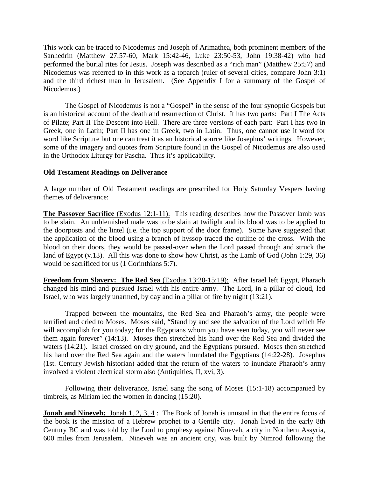This work can be traced to Nicodemus and Joseph of Arimathea, both prominent members of the Sanhedrin (Matthew 27:57-60, Mark 15:42-46, Luke 23:50-53, John 19:38-42) who had performed the burial rites for Jesus. Joseph was described as a "rich man" (Matthew 25:57) and Nicodemus was referred to in this work as a toparch (ruler of several cities, compare John 3:1) and the third richest man in Jerusalem. (See Appendix I for a summary of the Gospel of Nicodemus.)

The Gospel of Nicodemus is not a "Gospel" in the sense of the four synoptic Gospels but is an historical account of the death and resurrection of Christ. It has two parts: Part I The Acts of Pilate; Part II The Descent into Hell. There are three versions of each part: Part I has two in Greek, one in Latin; Part II has one in Greek, two in Latin. Thus, one cannot use it word for word like Scripture but one can treat it as an historical source like Josephus' writings. However, some of the imagery and quotes from Scripture found in the Gospel of Nicodemus are also used in the Orthodox Liturgy for Pascha. Thus it's applicability.

### **Old Testament Readings on Deliverance**

A large number of Old Testament readings are prescribed for Holy Saturday Vespers having themes of deliverance:

**The Passover Sacrifice** (Exodus 12:1-11): This reading describes how the Passover lamb was to be slain. An unblemished male was to be slain at twilight and its blood was to be applied to the doorposts and the lintel (i.e. the top support of the door frame). Some have suggested that the application of the blood using a branch of hyssop traced the outline of the cross. With the blood on their doors, they would be passed-over when the Lord passed through and struck the land of Egypt (v.13). All this was done to show how Christ, as the Lamb of God (John 1:29, 36) would be sacrificed for us (1 Corinthians 5:7).

**Freedom from Slavery: The Red Sea** (Exodus 13:20-15:19): After Israel left Egypt, Pharaoh changed his mind and pursued Israel with his entire army. The Lord, in a pillar of cloud, led Israel, who was largely unarmed, by day and in a pillar of fire by night (13:21).

Trapped between the mountains, the Red Sea and Pharaoh's army, the people were terrified and cried to Moses. Moses said, "Stand by and see the salvation of the Lord which He will accomplish for you today; for the Egyptians whom you have seen today, you will never see them again forever" (14:13). Moses then stretched his hand over the Red Sea and divided the waters (14:21). Israel crossed on dry ground, and the Egyptians pursued. Moses then stretched his hand over the Red Sea again and the waters inundated the Egyptians (14:22-28). Josephus (1st. Century Jewish historian) added that the return of the waters to inundate Pharaoh's army involved a violent electrical storm also (Antiquities, II, xvi, 3).

Following their deliverance, Israel sang the song of Moses (15:1-18) accompanied by timbrels, as Miriam led the women in dancing (15:20).

**Jonah and Nineveh:** Jonah 1, 2, 3, 4: The Book of Jonah is unusual in that the entire focus of the book is the mission of a Hebrew prophet to a Gentile city. Jonah lived in the early 8th Century BC and was told by the Lord to prophesy against Nineveh, a city in Northern Assyria, 600 miles from Jerusalem. Nineveh was an ancient city, was built by Nimrod following the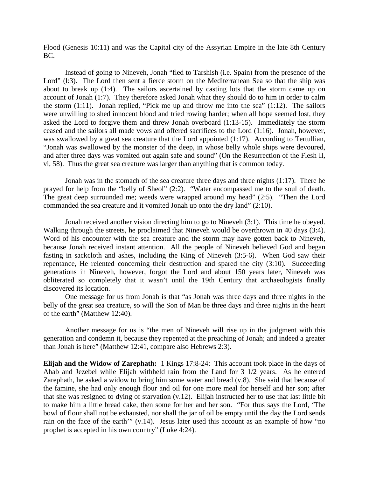Flood (Genesis 10:11) and was the Capital city of the Assyrian Empire in the late 8th Century BC.

Instead of going to Nineveh, Jonah "fled to Tarshish (i.e. Spain) from the presence of the Lord" (1:3). The Lord then sent a fierce storm on the Mediterranean Sea so that the ship was about to break up (1:4). The sailors ascertained by casting lots that the storm came up on account of Jonah (1:7). They therefore asked Jonah what they should do to him in order to calm the storm (1:11). Jonah replied, "Pick me up and throw me into the sea" (1:12). The sailors were unwilling to shed innocent blood and tried rowing harder; when all hope seemed lost, they asked the Lord to forgive them and threw Jonah overboard (1:13-15). Immediately the storm ceased and the sailors all made vows and offered sacrifices to the Lord (1:16). Jonah, however, was swallowed by a great sea creature that the Lord appointed (1:17). According to Tertullian, "Jonah was swallowed by the monster of the deep, in whose belly whole ships were devoured, and after three days was vomited out again safe and sound" (On the Resurrection of the Flesh II, vi, 58). Thus the great sea creature was larger than anything that is common today.

Jonah was in the stomach of the sea creature three days and three nights (1:17). There he prayed for help from the "belly of Sheol" (2:2). "Water encompassed me to the soul of death. The great deep surrounded me; weeds were wrapped around my head" (2:5). "Then the Lord commanded the sea creature and it vomited Jonah up onto the dry land" (2:10).

Jonah received another vision directing him to go to Nineveh (3:1). This time he obeyed. Walking through the streets, he proclaimed that Nineveh would be overthrown in 40 days (3:4). Word of his encounter with the sea creature and the storm may have gotten back to Nineveh, because Jonah received instant attention. All the people of Nineveh believed God and began fasting in sackcloth and ashes, including the King of Nineveh (3:5-6). When God saw their repentance, He relented concerning their destruction and spared the city (3:10). Succeeding generations in Nineveh, however, forgot the Lord and about 150 years later, Nineveh was obliterated so completely that it wasn't until the 19th Century that archaeologists finally discovered its location.

One message for us from Jonah is that "as Jonah was three days and three nights in the belly of the great sea creature, so will the Son of Man be three days and three nights in the heart of the earth" (Matthew 12:40).

Another message for us is "the men of Nineveh will rise up in the judgment with this generation and condemn it, because they repented at the preaching of Jonah; and indeed a greater than Jonah is here" (Matthew 12:41, compare also Hebrews 2:3).

**Elijah and the Widow of Zarephath:** 1 Kings 17:8-24: This account took place in the days of Ahab and Jezebel while Elijah withheld rain from the Land for 3 1/2 years. As he entered Zarephath, he asked a widow to bring him some water and bread (v.8). She said that because of the famine, she had only enough flour and oil for one more meal for herself and her son; after that she was resigned to dying of starvation (v.12). Elijah instructed her to use that last little bit to make him a little bread cake, then some for her and her son. "For thus says the Lord, 'The bowl of flour shall not be exhausted, nor shall the jar of oil be empty until the day the Lord sends rain on the face of the earth'" (v.14). Jesus later used this account as an example of how "no prophet is accepted in his own country" (Luke 4:24).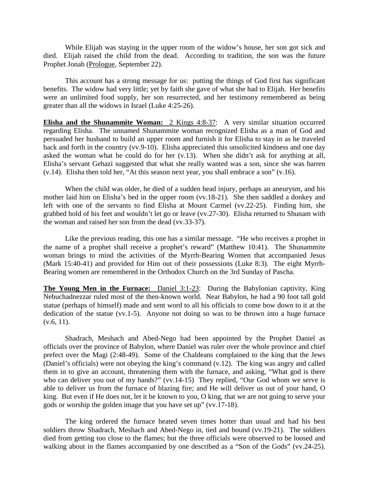While Elijah was staying in the upper room of the widow's house, her son got sick and died. Elijah raised the child from the dead. According to tradition, the son was the future Prophet Jonah (Prologue, September 22).

This account has a strong message for us: putting the things of God first has significant benefits. The widow had very little; yet by faith she gave of what she had to Elijah. Her benefits were an unlimited food supply, her son resurrected, and her testimony remembered as being greater than all the widows in Israel (Luke 4:25-26).

**Elisha and the Shunammite Woman:** 2 Kings 4:8-37: A very similar situation occurred regarding Elisha. The unnamed Shunammite woman recognized Elisha as a man of God and persuaded her husband to build an upper room and furnish it for Elisha to stay in as he traveled back and forth in the country (vv.9-10). Elisha appreciated this unsolicited kindness and one day asked the woman what he could do for her (v.13). When she didn't ask for anything at all, Elisha's servant Gehazi suggested that what she really wanted was a son, since she was barren (v.14). Elisha then told her, "At this season next year, you shall embrace a son" (v.16).

When the child was older, he died of a sudden head injury, perhaps an aneurysm, and his mother laid him on Elisha's bed in the upper room (vv.18-21). She then saddled a donkey and left with one of the servants to find Elisha at Mount Carmel (vv.22-25). Finding him, she grabbed hold of his feet and wouldn't let go or leave (vv.27-30). Elisha returned to Shunam with the woman and raised her son from the dead (vv.33-37).

Like the previous reading, this one has a similar message. "He who receives a prophet in the name of a prophet shall receive a prophet's reward" (Matthew 10:41). The Shunammite woman brings to mind the activities of the Myrrh-Bearing Women that accompanied Jesus (Mark 15:40-41) and provided for Him out of their possessions (Luke 8:3). The eight Myrrh-Bearing women are remembered in the Orthodox Church on the 3rd Sunday of Pascha.

**The Young Men in the Furnace:** Daniel 3:1-23: During the Babylonian captivity, King Nebuchadnezzar ruled most of the then-known world. Near Babylon, he had a 90 foot tall gold statue (perhaps of himself) made and sent word to all his officials to come bow down to it at the dedication of the statue (vv.1-5). Anyone not doing so was to be thrown into a huge furnace  $(v.6, 11)$ .

Shadrach, Meshach and Abed-Nego had been appointed by the Prophet Daniel as officials over the province of Babylon, where Daniel was ruler over the whole province and chief prefect over the Magi (2:48-49). Some of the Chaldeans complained to the king that the Jews (Daniel's officials) were not obeying the king's command (v.12). The king was angry and called them in to give an account, threatening them with the furnace, and asking, "What god is there who can deliver you out of my hands?" (vv.14-15) They replied, "Our God whom we serve is able to deliver us from the furnace of blazing fire; and He will deliver us out of your hand, O king. But even if He does not, let it be known to you, O king, that we are not going to serve your gods or worship the golden image that you have set up" (vv.17-18).

The king ordered the furnace heated seven times hotter than usual and had his best soldiers throw Shadrach, Meshach and Abed-Nego in, tied and bound (vv.19-21). The soldiers died from getting too close to the flames; but the three officials were observed to be loosed and walking about in the flames accompanied by one described as a "Son of the Gods" (vv.24-25).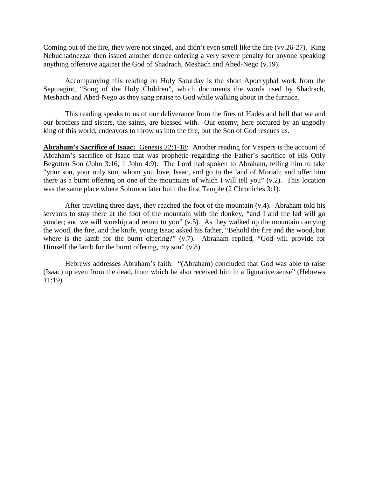Coming out of the fire, they were not singed, and didn't even smell like the fire (vv.26-27). King Nebuchadnezzar then issued another decree ordering a very severe penalty for anyone speaking anything offensive against the God of Shadrach, Meshach and Abed-Nego (v.19).

Accompanying this reading on Holy Saturday is the short Apocryphal work from the Septuagint, "Song of the Holy Children", which documents the words used by Shadrach, Meshach and Abed-Nego as they sang praise to God while walking about in the furnace.

This reading speaks to us of our deliverance from the fires of Hades and hell that we and our brothers and sisters, the saints, are blessed with. Our enemy, here pictured by an ungodly king of this world, endeavors to throw us into the fire, but the Son of God rescues us.

**Abraham's Sacrifice of Isaac:** Genesis 22:1-18: Another reading for Vespers is the account of Abraham's sacrifice of Isaac that was prophetic regarding the Father's sacrifice of His Only Begotten Son (John 3:16, 1 John 4:9). The Lord had spoken to Abraham, telling him to take "your son, your only son, whom you love, Isaac, and go to the land of Moriah; and offer him there as a burnt offering on one of the mountains of which I will tell you" (v.2). This location was the same place where Solomon later built the first Temple (2 Chronicles 3:1).

After traveling three days, they reached the foot of the mountain (v.4). Abraham told his servants to stay there at the foot of the mountain with the donkey, "and I and the lad will go yonder; and we will worship and return to you" (v.5). As they walked up the mountain carrying the wood, the fire, and the knife, young Isaac asked his father, "Behold the fire and the wood, but where is the lamb for the burnt offering?" (v.7). Abraham replied, "God will provide for Himself the lamb for the burnt offering, my son" (v.8).

Hebrews addresses Abraham's faith: "(Abraham) concluded that God was able to raise (Isaac) up even from the dead, from which he also received him in a figurative sense" (Hebrews 11:19).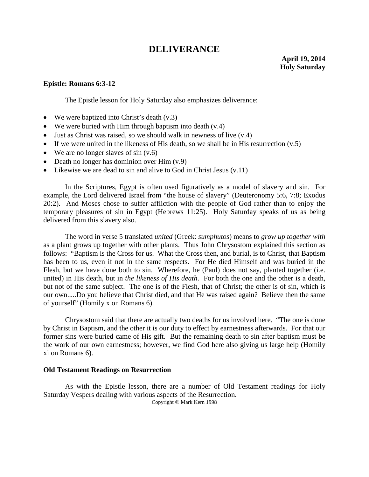## **DELIVERANCE**

#### **Epistle: Romans 6:3-12**

The Epistle lesson for Holy Saturday also emphasizes deliverance:

- We were baptized into Christ's death  $(v.3)$
- We were buried with Him through baptism into death (v.4)
- Just as Christ was raised, so we should walk in newness of live  $(v.4)$
- If we were united in the likeness of His death, so we shall be in His resurrection  $(v.5)$
- We are no longer slaves of  $sin(v.6)$
- Death no longer has dominion over Him  $(v.9)$
- Likewise we are dead to sin and alive to God in Christ Jesus  $(v.11)$

In the Scriptures, Egypt is often used figuratively as a model of slavery and sin. For example, the Lord delivered Israel from "the house of slavery" (Deuteronomy 5:6, 7:8; Exodus 20:2). And Moses chose to suffer affliction with the people of God rather than to enjoy the temporary pleasures of sin in Egypt (Hebrews 11:25). Holy Saturday speaks of us as being delivered from this slavery also.

The word in verse 5 translated *united* (Greek: *sumphutos*) means to *grow up together with* as a plant grows up together with other plants. Thus John Chrysostom explained this section as follows: "Baptism is the Cross for us. What the Cross then, and burial, is to Christ, that Baptism has been to us, even if not in the same respects. For He died Himself and was buried in the Flesh, but we have done both to sin. Wherefore, he (Paul) does not say, planted together (i.e. united) in His death, but in *the likeness of His death*. For both the one and the other is a death, but not of the same subject. The one is of the Flesh, that of Christ; the other is of sin, which is our own.....Do you believe that Christ died, and that He was raised again? Believe then the same of yourself" (Homily x on Romans 6).

Chrysostom said that there are actually two deaths for us involved here. "The one is done by Christ in Baptism, and the other it is our duty to effect by earnestness afterwards. For that our former sins were buried came of His gift. But the remaining death to sin after baptism must be the work of our own earnestness; however, we find God here also giving us large help (Homily xi on Romans 6).

#### **Old Testament Readings on Resurrection**

As with the Epistle lesson, there are a number of Old Testament readings for Holy Saturday Vespers dealing with various aspects of the Resurrection.

Copyright © Mark Kern 1998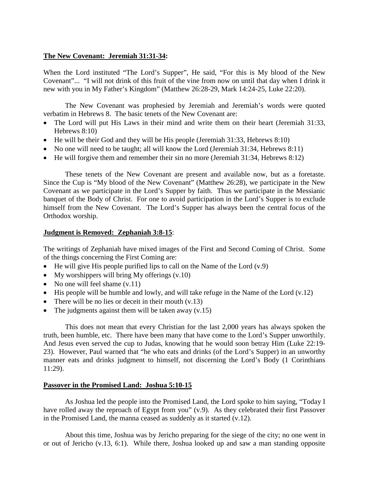## **The New Covenant: Jeremiah 31:31-34:**

When the Lord instituted "The Lord's Supper", He said, "For this is My blood of the New Covenant"... "I will not drink of this fruit of the vine from now on until that day when I drink it new with you in My Father's Kingdom" (Matthew 26:28-29, Mark 14:24-25, Luke 22:20).

The New Covenant was prophesied by Jeremiah and Jeremiah's words were quoted verbatim in Hebrews 8. The basic tenets of the New Covenant are:

- The Lord will put His Laws in their mind and write them on their heart (Jeremiah 31:33, Hebrews 8:10)
- He will be their God and they will be His people (Jeremiah 31:33, Hebrews 8:10)
- No one will need to be taught; all will know the Lord (Jeremiah 31:34, Hebrews 8:11)
- He will forgive them and remember their sin no more (Jeremiah 31:34, Hebrews 8:12)

These tenets of the New Covenant are present and available now, but as a foretaste. Since the Cup is "My blood of the New Covenant" (Matthew 26:28), we participate in the New Covenant as we participate in the Lord's Supper by faith. Thus we participate in the Messianic banquet of the Body of Christ. For one to avoid participation in the Lord's Supper is to exclude himself from the New Covenant. The Lord's Supper has always been the central focus of the Orthodox worship.

### **Judgment is Removed: Zephaniah 3:8-15**:

The writings of Zephaniah have mixed images of the First and Second Coming of Christ. Some of the things concerning the First Coming are:

- He will give His people purified lips to call on the Name of the Lord  $(v.9)$
- My worshippers will bring My offerings (v.10)
- No one will feel shame  $(v.11)$
- His people will be humble and lowly, and will take refuge in the Name of the Lord (v.12)
- There will be no lies or deceit in their mouth  $(v.13)$
- The judgments against them will be taken away  $(v.15)$

This does not mean that every Christian for the last 2,000 years has always spoken the truth, been humble, etc. There have been many that have come to the Lord's Supper unworthily. And Jesus even served the cup to Judas, knowing that he would soon betray Him (Luke 22:19- 23). However, Paul warned that "he who eats and drinks (of the Lord's Supper) in an unworthy manner eats and drinks judgment to himself, not discerning the Lord's Body (1 Corinthians 11:29).

### **Passover in the Promised Land: Joshua 5:10-15**

As Joshua led the people into the Promised Land, the Lord spoke to him saying, "Today I have rolled away the reproach of Egypt from you" (v.9). As they celebrated their first Passover in the Promised Land, the manna ceased as suddenly as it started (v.12).

About this time, Joshua was by Jericho preparing for the siege of the city; no one went in or out of Jericho (v.13, 6:1). While there, Joshua looked up and saw a man standing opposite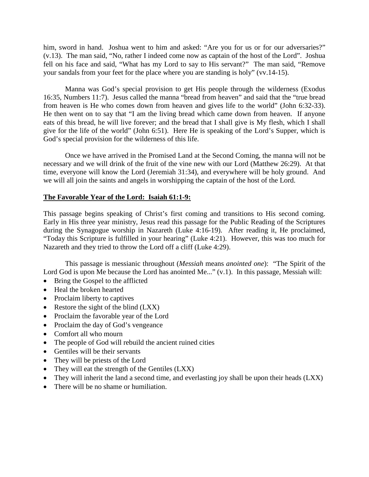him, sword in hand. Joshua went to him and asked: "Are you for us or for our adversaries?" (v.13). The man said, "No, rather I indeed come now as captain of the host of the Lord". Joshua fell on his face and said, "What has my Lord to say to His servant?" The man said, "Remove your sandals from your feet for the place where you are standing is holy" (vv.14-15).

Manna was God's special provision to get His people through the wilderness (Exodus 16:35, Numbers 11:7). Jesus called the manna "bread from heaven" and said that the "true bread from heaven is He who comes down from heaven and gives life to the world" (John 6:32-33). He then went on to say that "I am the living bread which came down from heaven. If anyone eats of this bread, he will live forever; and the bread that I shall give is My flesh, which I shall give for the life of the world" (John 6:51). Here He is speaking of the Lord's Supper, which is God's special provision for the wilderness of this life.

Once we have arrived in the Promised Land at the Second Coming, the manna will not be necessary and we will drink of the fruit of the vine new with our Lord (Matthew 26:29). At that time, everyone will know the Lord (Jeremiah 31:34), and everywhere will be holy ground. And we will all join the saints and angels in worshipping the captain of the host of the Lord.

## **The Favorable Year of the Lord: Isaiah 61:1-9:**

This passage begins speaking of Christ's first coming and transitions to His second coming. Early in His three year ministry, Jesus read this passage for the Public Reading of the Scriptures during the Synagogue worship in Nazareth (Luke 4:16-19). After reading it, He proclaimed, "Today this Scripture is fulfilled in your hearing" (Luke 4:21). However, this was too much for Nazareth and they tried to throw the Lord off a cliff (Luke 4:29).

This passage is messianic throughout (*Messiah* means *anointed one*): "The Spirit of the Lord God is upon Me because the Lord has anointed Me..." (v.1). In this passage, Messiah will:

- Bring the Gospel to the afflicted
- Heal the broken hearted
- Proclaim liberty to captives
- Restore the sight of the blind (LXX)
- Proclaim the favorable year of the Lord
- Proclaim the day of God's vengeance
- Comfort all who mourn
- The people of God will rebuild the ancient ruined cities
- Gentiles will be their servants
- They will be priests of the Lord
- They will eat the strength of the Gentiles (LXX)
- They will inherit the land a second time, and everlasting joy shall be upon their heads (LXX)
- There will be no shame or humiliation.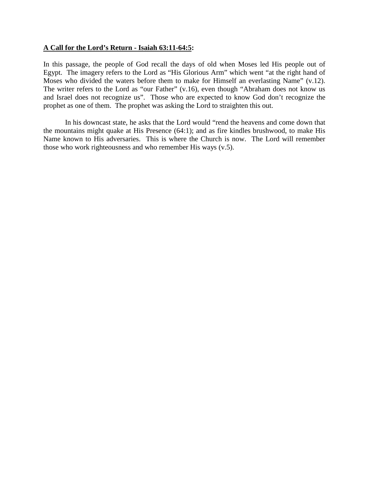### **A Call for the Lord's Return - Isaiah 63:11-64:5:**

In this passage, the people of God recall the days of old when Moses led His people out of Egypt. The imagery refers to the Lord as "His Glorious Arm" which went "at the right hand of Moses who divided the waters before them to make for Himself an everlasting Name" (v.12). The writer refers to the Lord as "our Father" (v.16), even though "Abraham does not know us and Israel does not recognize us". Those who are expected to know God don't recognize the prophet as one of them. The prophet was asking the Lord to straighten this out.

In his downcast state, he asks that the Lord would "rend the heavens and come down that the mountains might quake at His Presence (64:1); and as fire kindles brushwood, to make His Name known to His adversaries. This is where the Church is now. The Lord will remember those who work righteousness and who remember His ways (v.5).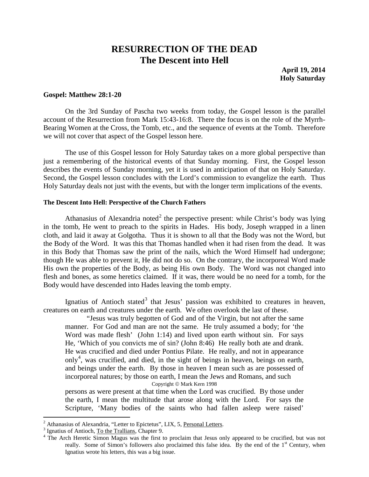## **RESURRECTION OF THE DEAD The Descent into Hell**

**April 19, 2014 Holy Saturday**

#### **Gospel: Matthew 28:1-20**

On the 3rd Sunday of Pascha two weeks from today, the Gospel lesson is the parallel account of the Resurrection from Mark 15:43-16:8. There the focus is on the role of the Myrrh-Bearing Women at the Cross, the Tomb, etc., and the sequence of events at the Tomb. Therefore we will not cover that aspect of the Gospel lesson here.

The use of this Gospel lesson for Holy Saturday takes on a more global perspective than just a remembering of the historical events of that Sunday morning. First, the Gospel lesson describes the events of Sunday morning, yet it is used in anticipation of that on Holy Saturday. Second, the Gospel lesson concludes with the Lord's commission to evangelize the earth. Thus Holy Saturday deals not just with the events, but with the longer term implications of the events.

#### **The Descent Into Hell: Perspective of the Church Fathers**

Athanasius of Alexandria noted<sup>[2](#page-9-0)</sup> the perspective present: while Christ's body was lying in the tomb, He went to preach to the spirits in Hades. His body, Joseph wrapped in a linen cloth, and laid it away at Golgotha. Thus it is shown to all that the Body was not the Word, but the Body of the Word. It was this that Thomas handled when it had risen from the dead. It was in this Body that Thomas saw the print of the nails, which the Word Himself had undergone; though He was able to prevent it, He did not do so. On the contrary, the incorporeal Word made His own the properties of the Body, as being His own Body. The Word was not changed into flesh and bones, as some heretics claimed. If it was, there would be no need for a tomb, for the Body would have descended into Hades leaving the tomb empty.

Ignatius of Antioch stated<sup>[3](#page-9-1)</sup> that Jesus' passion was exhibited to creatures in heaven, creatures on earth and creatures under the earth. We often overlook the last of these.

"Jesus was truly begotten of God and of the Virgin, but not after the same manner. For God and man are not the same. He truly assumed a body; for 'the Word was made flesh' (John 1:14) and lived upon earth without sin. For says He, 'Which of you convicts me of sin? (John 8:46) He really both ate and drank. He was crucified and died under Pontius Pilate. He really, and not in appearance only<sup>[4](#page-9-2)</sup>, was crucified, and died, in the sight of beings in heaven, beings on earth, and beings under the earth. By those in heaven I mean such as are possessed of incorporeal natures; by those on earth, I mean the Jews and Romans, and such Copyright © Mark Kern 1998

persons as were present at that time when the Lord was crucified. By those under the earth, I mean the multitude that arose along with the Lord. For says the Scripture, 'Many bodies of the saints who had fallen asleep were raised'

<span id="page-9-2"></span><span id="page-9-1"></span>

<span id="page-9-0"></span><sup>&</sup>lt;sup>2</sup> Athanasius of Alexandria, "Letter to Epictetus", LIX, 5, <u>Personal Letters</u>.<br><sup>3</sup> Ignatius of Antioch, <u>To the Trallians</u>, Chapter 9.<br><sup>4</sup> The Arch Heretic Simon Magus was the first to proclaim that Jesus only appeared really. Some of Simon's followers also proclaimed this false idea. By the end of the 1<sup>st</sup> Century, when Ignatius wrote his letters, this was a big issue.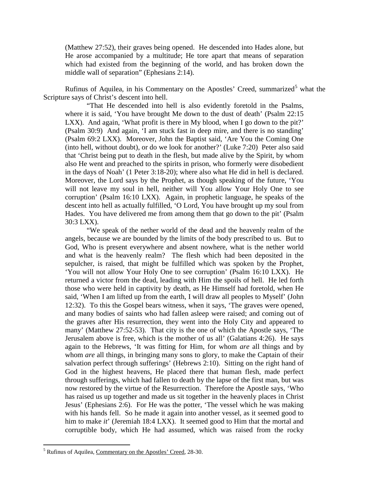(Matthew 27:52), their graves being opened. He descended into Hades alone, but He arose accompanied by a multitude; He tore apart that means of separation which had existed from the beginning of the world, and has broken down the middle wall of separation" (Ephesians 2:14).

Rufinus of Aquilea, in his Commentary on the Apostles' Creed, summarized<sup>[5](#page-10-0)</sup> what the Scripture says of Christ's descent into hell.

"That He descended into hell is also evidently foretold in the Psalms, where it is said, 'You have brought Me down to the dust of death' (Psalm 22:15 LXX). And again, 'What profit is there in My blood, when I go down to the pit?' (Psalm 30:9) And again, 'I am stuck fast in deep mire, and there is no standing' (Psalm 69:2 LXX). Moreover, John the Baptist said, 'Are You the Coming One (into hell, without doubt), or do we look for another?' (Luke 7:20) Peter also said that 'Christ being put to death in the flesh, but made alive by the Spirit, by whom also He went and preached to the spirits in prison, who formerly were disobedient in the days of Noah' (1 Peter 3:18-20); where also what He did in hell is declared. Moreover, the Lord says by the Prophet, as though speaking of the future, 'You will not leave my soul in hell, neither will You allow Your Holy One to see corruption' (Psalm 16:10 LXX). Again, in prophetic language, he speaks of the descent into hell as actually fulfilled, 'O Lord, You have brought up my soul from Hades. You have delivered me from among them that go down to the pit' (Psalm 30:3 LXX).

"We speak of the nether world of the dead and the heavenly realm of the angels, because we are bounded by the limits of the body prescribed to us. But to God, Who is present everywhere and absent nowhere, what is the nether world and what is the heavenly realm? The flesh which had been deposited in the sepulcher, is raised, that might be fulfilled which was spoken by the Prophet, 'You will not allow Your Holy One to see corruption' (Psalm 16:10 LXX). He returned a victor from the dead, leading with Him the spoils of hell. He led forth those who were held in captivity by death, as He Himself had foretold, when He said, 'When I am lifted up from the earth, I will draw all peoples to Myself' (John 12:32). To this the Gospel bears witness, when it says, 'The graves were opened, and many bodies of saints who had fallen asleep were raised; and coming out of the graves after His resurrection, they went into the Holy City and appeared to many' (Matthew 27:52-53). That city is the one of which the Apostle says, 'The Jerusalem above is free, which is the mother of us all' (Galatians 4:26). He says again to the Hebrews, 'It was fitting for Him, for whom *are* all things and by whom *are* all things, in bringing many sons to glory, to make the Captain of their salvation perfect through sufferings' (Hebrews 2:10). Sitting on the right hand of God in the highest heavens, He placed there that human flesh, made perfect through sufferings, which had fallen to death by the lapse of the first man, but was now restored by the virtue of the Resurrection. Therefore the Apostle says, 'Who has raised us up together and made us sit together in the heavenly places in Christ Jesus' (Ephesians 2:6). For He was the potter, 'The vessel which he was making with his hands fell. So he made it again into another vessel, as it seemed good to him to make *it*' (Jeremiah 18:4 LXX). It seemed good to Him that the mortal and corruptible body, which He had assumed, which was raised from the rocky

<span id="page-10-0"></span> <sup>5</sup> Rufinus of Aquilea, Commentary on the Apostles' Creed, 28-30.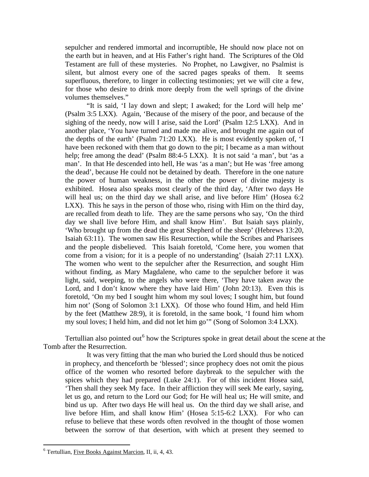sepulcher and rendered immortal and incorruptible, He should now place not on the earth but in heaven, and at His Father's right hand. The Scriptures of the Old Testament are full of these mysteries. No Prophet, no Lawgiver, no Psalmist is silent, but almost every one of the sacred pages speaks of them. It seems superfluous, therefore, to linger in collecting testimonies; yet we will cite a few, for those who desire to drink more deeply from the well springs of the divine volumes themselves."

"It is said, 'I lay down and slept; I awaked; for the Lord will help me' (Psalm 3:5 LXX). Again, 'Because of the misery of the poor, and because of the sighing of the needy, now will I arise, said the Lord' (Psalm 12:5 LXX). And in another place, 'You have turned and made me alive, and brought me again out of the depths of the earth' (Psalm 71:20 LXX). He is most evidently spoken of, 'I have been reckoned with them that go down to the pit; I became as a man without help; free among the dead' (Psalm 88:4-5 LXX). It is not said 'a man', but 'as a man'. In that He descended into hell, He was 'as a man'; but He was 'free among the dead', because He could not be detained by death. Therefore in the one nature the power of human weakness, in the other the power of divine majesty is exhibited. Hosea also speaks most clearly of the third day, 'After two days He will heal us; on the third day we shall arise, and live before Him' (Hosea 6:2) LXX). This he says in the person of those who, rising with Him on the third day, are recalled from death to life. They are the same persons who say, 'On the third day we shall live before Him, and shall know Him'. But Isaiah says plainly, 'Who brought up from the dead the great Shepherd of the sheep' (Hebrews 13:20, Isaiah 63:11). The women saw His Resurrection, while the Scribes and Pharisees and the people disbelieved. This Isaiah foretold, 'Come here, you women that come from a vision; for it is a people of no understanding' (Isaiah 27:11 LXX). The women who went to the sepulcher after the Resurrection, and sought Him without finding, as Mary Magdalene, who came to the sepulcher before it was light, said, weeping, to the angels who were there, 'They have taken away the Lord, and I don't know where they have laid Him' (John 20:13). Even this is foretold, 'On my bed I sought him whom my soul loves; I sought him, but found him not' (Song of Solomon 3:1 LXX). Of those who found Him, and held Him by the feet (Matthew 28:9), it is foretold, in the same book, 'I found him whom my soul loves; I held him, and did not let him go'" (Song of Solomon 3:4 LXX).

Tertullian also pointed out<sup>[6](#page-11-0)</sup> how the Scriptures spoke in great detail about the scene at the Tomb after the Resurrection.

It was very fitting that the man who buried the Lord should thus be noticed in prophecy, and thenceforth be 'blessed'; since prophecy does not omit the pious office of the women who resorted before daybreak to the sepulcher with the spices which they had prepared (Luke 24:1). For of this incident Hosea said, 'Then shall they seek My face. In their affliction they will seek Me early, saying, let us go, and return to the Lord our God; for He will heal us; He will smite, and bind us up. After two days He will heal us. On the third day we shall arise, and live before Him, and shall know Him' (Hosea 5:15-6:2 LXX). For who can refuse to believe that these words often revolved in the thought of those women between the sorrow of that desertion, with which at present they seemed to

<span id="page-11-0"></span> <sup>6</sup> Tertullian, Five Books Against Marcion, II, ii, 4, 43.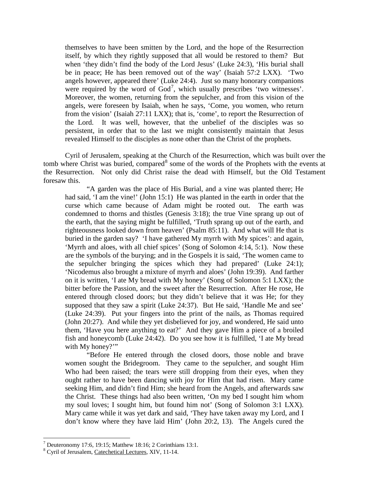themselves to have been smitten by the Lord, and the hope of the Resurrection itself, by which they rightly supposed that all would be restored to them? But when 'they didn't find the body of the Lord Jesus' (Luke 24:3), 'His burial shall be in peace; He has been removed out of the way' (Isaiah 57:2 LXX). 'Two angels however, appeared there' (Luke 24:4). Just so many honorary companions were required by the word of  $God^7$  $God^7$ , which usually prescribes 'two witnesses'. Moreover, the women, returning from the sepulcher, and from this vision of the angels, were foreseen by Isaiah, when he says, 'Come, you women, who return from the vision' (Isaiah 27:11 LXX); that is, 'come', to report the Resurrection of the Lord. It was well, however, that the unbelief of the disciples was so persistent, in order that to the last we might consistently maintain that Jesus revealed Himself to the disciples as none other than the Christ of the prophets.

Cyril of Jerusalem, speaking at the Church of the Resurrection, which was built over the tomb where Christ was buried, compared<sup>[8](#page-12-1)</sup> some of the words of the Prophets with the events at the Resurrection. Not only did Christ raise the dead with Himself, but the Old Testament foresaw this.

"A garden was the place of His Burial, and a vine was planted there; He had said, 'I am the vine!' (John 15:1) He was planted in the earth in order that the curse which came because of Adam might be rooted out. The earth was condemned to thorns and thistles (Genesis 3:18); the true Vine sprang up out of the earth, that the saying might be fulfilled, 'Truth sprang up out of the earth, and righteousness looked down from heaven' (Psalm 85:11). And what will He that is buried in the garden say? 'I have gathered My myrrh with My spices': and again, 'Myrrh and aloes, with all chief spices' (Song of Solomon 4:14, 5:1). Now these are the symbols of the burying; and in the Gospels it is said, 'The women came to the sepulcher bringing the spices which they had prepared' (Luke 24:1); 'Nicodemus also brought a mixture of myrrh and aloes' (John 19:39). And farther on it is written, 'I ate My bread with My honey' (Song of Solomon 5:1 LXX); the bitter before the Passion, and the sweet after the Resurrection. After He rose, He entered through closed doors; but they didn't believe that it was He; for they supposed that they saw a spirit (Luke 24:37). But He said, 'Handle Me and see' (Luke 24:39). Put your fingers into the print of the nails, as Thomas required (John 20:27). And while they yet disbelieved for joy, and wondered, He said unto them, 'Have you here anything to eat?' And they gave Him a piece of a broiled fish and honeycomb (Luke 24:42). Do you see how it is fulfilled, 'I ate My bread with My honey?"

"Before He entered through the closed doors, those noble and brave women sought the Bridegroom. They came to the sepulcher, and sought Him Who had been raised; the tears were still dropping from their eyes, when they ought rather to have been dancing with joy for Him that had risen. Mary came seeking Him, and didn't find Him; she heard from the Angels, and afterwards saw the Christ. These things had also been written, 'On my bed I sought him whom my soul loves; I sought him, but found him not' (Song of Solomon 3:1 LXX). Mary came while it was yet dark and said, 'They have taken away my Lord, and I don't know where they have laid Him' (John 20:2, 13). The Angels cured the

<span id="page-12-0"></span><sup>&</sup>lt;sup>7</sup> Deuteronomy 17:6, 19:15; Matthew 18:16; 2 Corinthians 13:1.

<span id="page-12-1"></span><sup>8</sup> Cyril of Jerusalem, Catechetical Lectures, XIV, 11-14.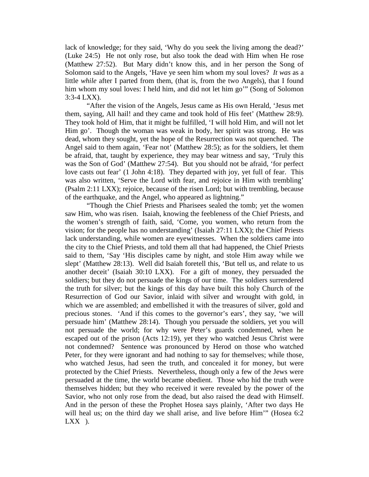lack of knowledge; for they said, 'Why do you seek the living among the dead?' (Luke 24:5) He not only rose, but also took the dead with Him when He rose (Matthew 27:52). But Mary didn't know this, and in her person the Song of Solomon said to the Angels, 'Have ye seen him whom my soul loves? *It was* as a little *while* after I parted from them, (that is, from the two Angels), that I found him whom my soul loves: I held him, and did not let him go'" (Song of Solomon 3:3-4 LXX).

"After the vision of the Angels, Jesus came as His own Herald, 'Jesus met them, saying, All hail! and they came and took hold of His feet' (Matthew 28:9). They took hold of Him, that it might be fulfilled, 'I will hold Him, and will not let Him go'. Though the woman was weak in body, her spirit was strong. He was dead, whom they sought, yet the hope of the Resurrection was not quenched. The Angel said to them again, 'Fear not' (Matthew 28:5); as for the soldiers, let them be afraid, that, taught by experience, they may bear witness and say, 'Truly this was the Son of God' (Matthew 27:54). But you should not be afraid, 'for perfect love casts out fear' (1 John 4:18). They departed with joy, yet full of fear. This was also written, 'Serve the Lord with fear, and rejoice in Him with trembling' (Psalm 2:11 LXX); rejoice, because of the risen Lord; but with trembling, because of the earthquake, and the Angel, who appeared as lightning."

"Though the Chief Priests and Pharisees sealed the tomb; yet the women saw Him, who was risen. Isaiah, knowing the feebleness of the Chief Priests, and the women's strength of faith, said, 'Come, you women, who return from the vision; for the people has no understanding' (Isaiah 27:11 LXX); the Chief Priests lack understanding, while women are eyewitnesses. When the soldiers came into the city to the Chief Priests, and told them all that had happened, the Chief Priests said to them, 'Say 'His disciples came by night, and stole Him away while we slept' (Matthew 28:13). Well did Isaiah foretell this, 'But tell us, and relate to us another deceit' (Isaiah 30:10 LXX). For a gift of money, they persuaded the soldiers; but they do not persuade the kings of our time. The soldiers surrendered the truth for silver; but the kings of this day have built this holy Church of the Resurrection of God our Savior, inlaid with silver and wrought with gold, in which we are assembled; and embellished it with the treasures of silver, gold and precious stones. 'And if this comes to the governor's ears', they say, 'we will persuade him' (Matthew 28:14). Though you persuade the soldiers, yet you will not persuade the world; for why were Peter's guards condemned, when he escaped out of the prison (Acts 12:19), yet they who watched Jesus Christ were not condemned? Sentence was pronounced by Herod on those who watched Peter, for they were ignorant and had nothing to say for themselves; while those, who watched Jesus, had seen the truth, and concealed it for money, but were protected by the Chief Priests. Nevertheless, though only a few of the Jews were persuaded at the time, the world became obedient. Those who hid the truth were themselves hidden; but they who received it were revealed by the power of the Savior, who not only rose from the dead, but also raised the dead with Himself. And in the person of these the Prophet Hosea says plainly, 'After two days He will heal us; on the third day we shall arise, and live before Him'" (Hosea 6:2  $LXX$ ).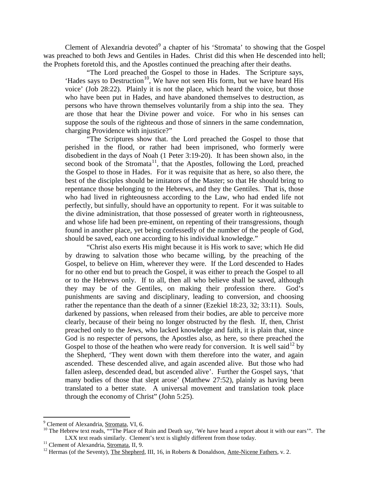Clement of Alexandria devoted<sup>[9](#page-14-0)</sup> a chapter of his 'Stromata' to showing that the Gospel was preached to both Jews and Gentiles in Hades. Christ did this when He descended into hell; the Prophets foretold this, and the Apostles continued the preaching after their deaths.

"The Lord preached the Gospel to those in Hades. The Scripture says, 'Hades says to Destruction<sup>[10](#page-14-1)</sup>, We have not seen His form, but we have heard His voice' (Job 28:22). Plainly it is not the place, which heard the voice, but those who have been put in Hades, and have abandoned themselves to destruction, as persons who have thrown themselves voluntarily from a ship into the sea. They are those that hear the Divine power and voice. For who in his senses can suppose the souls of the righteous and those of sinners in the same condemnation, charging Providence with injustice?"

"The Scriptures show that. the Lord preached the Gospel to those that perished in the flood, or rather had been imprisoned, who formerly were disobedient in the days of Noah (1 Peter 3:19-20). It has been shown also, in the second book of the Stromata<sup>[11](#page-14-2)</sup>, that the Apostles, following the Lord, preached the Gospel to those in Hades. For it was requisite that as here, so also there, the best of the disciples should be imitators of the Master; so that He should bring to repentance those belonging to the Hebrews, and they the Gentiles. That is, those who had lived in righteousness according to the Law, who had ended life not perfectly, but sinfully, should have an opportunity to repent. For it was suitable to the divine administration, that those possessed of greater worth in righteousness, and whose life had been pre-eminent, on repenting of their transgressions, though found in another place, yet being confessedly of the number of the people of God, should be saved, each one according to his individual knowledge."

"Christ also exerts His might because it is His work to save; which He did by drawing to salvation those who became willing, by the preaching of the Gospel, to believe on Him, wherever they were. If the Lord descended to Hades for no other end but to preach the Gospel, it was either to preach the Gospel to all or to the Hebrews only. If to all, then all who believe shall be saved, although they may be of the Gentiles, on making their profession there. God's punishments are saving and disciplinary, leading to conversion, and choosing rather the repentance than the death of a sinner (Ezekiel 18:23, 32; 33:11). Souls, darkened by passions, when released from their bodies, are able to perceive more clearly, because of their being no longer obstructed by the flesh. If, then, Christ preached only to the Jews, who lacked knowledge and faith, it is plain that, since God is no respecter of persons, the Apostles also, as here, so there preached the Gospel to those of the heathen who were ready for conversion. It is well said  $^{12}$  $^{12}$  $^{12}$  by the Shepherd, 'They went down with them therefore into the water, and again ascended. These descended alive, and again ascended alive. But those who had fallen asleep, descended dead, but ascended alive'. Further the Gospel says, 'that many bodies of those that slept arose' (Matthew 27:52), plainly as having been translated to a better state. A universal movement and translation took place through the economy of Christ" (John 5:25).

<span id="page-14-1"></span><span id="page-14-0"></span><sup>&</sup>lt;sup>9</sup> Clement of Alexandria, <u>Stromata</u>, VI, 6.<br><sup>10</sup> The Hebrew text reads, ""The Place of Ruin and Death say, 'We have heard a report about it with our ears'". The<br>LXX text reads similarly. Clement's text is slightly diffe

<span id="page-14-3"></span><span id="page-14-2"></span><sup>&</sup>lt;sup>11</sup> Clement of Alexandria, <u>Stromata</u>, II, 9.<br><sup>12</sup> Hermas (of the Seventy), <u>The Shepherd</u>, III, 16, in Roberts & Donaldson, <u>Ante-Nicene Fathers</u>, v. 2.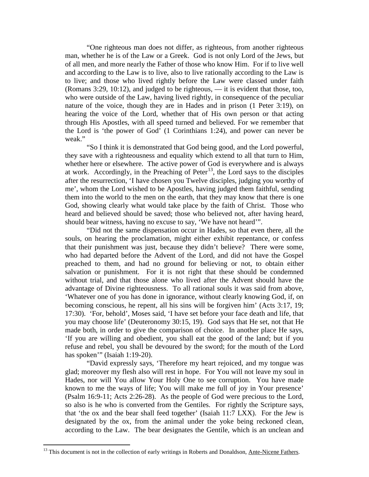"One righteous man does not differ, as righteous, from another righteous man, whether he is of the Law or a Greek. God is not only Lord of the Jews, but of all men, and more nearly the Father of those who know Him. For if to live well and according to the Law is to live, also to live rationally according to the Law is to live; and those who lived rightly before the Law were classed under faith (Romans 3:29, 10:12), and judged to be righteous, — it is evident that those, too, who were outside of the Law, having lived rightly, in consequence of the peculiar nature of the voice, though they are in Hades and in prison (1 Peter 3:19), on hearing the voice of the Lord, whether that of His own person or that acting through His Apostles, with all speed turned and believed. For we remember that the Lord is 'the power of God' (1 Corinthians 1:24), and power can never be weak."

"So I think it is demonstrated that God being good, and the Lord powerful, they save with a righteousness and equality which extend to all that turn to Him, whether here or elsewhere. The active power of God is everywhere and is always at work. Accordingly, in the Preaching of Peter<sup>[13](#page-15-0)</sup>, the Lord says to the disciples after the resurrection, 'I have chosen you Twelve disciples, judging you worthy of me', whom the Lord wished to be Apostles, having judged them faithful, sending them into the world to the men on the earth, that they may know that there is one God, showing clearly what would take place by the faith of Christ. Those who heard and believed should be saved; those who believed not, after having heard, should bear witness, having no excuse to say, 'We have not heard'".

"Did not the same dispensation occur in Hades, so that even there, all the souls, on hearing the proclamation, might either exhibit repentance, or confess that their punishment was just, because they didn't believe? There were some, who had departed before the Advent of the Lord, and did not have the Gospel preached to them, and had no ground for believing or not, to obtain either salvation or punishment. For it is not right that these should be condemned without trial, and that those alone who lived after the Advent should have the advantage of Divine righteousness. To all rational souls it was said from above, 'Whatever one of you has done in ignorance, without clearly knowing God, if, on becoming conscious, he repent, all his sins will be forgiven him' (Acts 3:17, 19; 17:30). 'For, behold', Moses said, 'I have set before your face death and life, that you may choose life' (Deuteronomy 30:15, 19). God says that He set, not that He made both, in order to give the comparison of choice. In another place He says, 'If you are willing and obedient, you shall eat the good of the land; but if you refuse and rebel, you shall be devoured by the sword; for the mouth of the Lord has spoken'" (Isaiah 1:19-20).

"David expressly says, 'Therefore my heart rejoiced, and my tongue was glad; moreover my flesh also will rest in hope. For You will not leave my soul in Hades, nor will You allow Your Holy One to see corruption. You have made known to me the ways of life; You will make me full of joy in Your presence' (Psalm 16:9-11; Acts 2:26-28). As the people of God were precious to the Lord, so also is he who is converted from the Gentiles. For rightly the Scripture says, that 'the ox and the bear shall feed together' (Isaiah 11:7 LXX). For the Jew is designated by the ox, from the animal under the yoke being reckoned clean, according to the Law. The bear designates the Gentile, which is an unclean and

<span id="page-15-0"></span><sup>&</sup>lt;sup>13</sup> This document is not in the collection of early writings in Roberts and Donaldson, Ante-Nicene Fathers.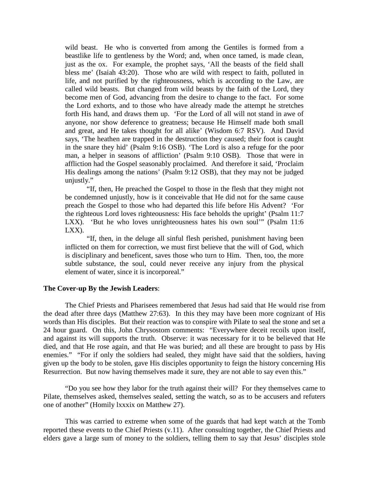wild beast. He who is converted from among the Gentiles is formed from a beastlike life to gentleness by the Word; and, when once tamed, is made clean, just as the ox. For example, the prophet says, 'All the beasts of the field shall bless me' (Isaiah 43:20). Those who are wild with respect to faith, polluted in life, and not purified by the righteousness, which is according to the Law, are called wild beasts. But changed from wild beasts by the faith of the Lord, they become men of God, advancing from the desire to change to the fact. For some the Lord exhorts, and to those who have already made the attempt he stretches forth His hand, and draws them up. 'For the Lord of all will not stand in awe of anyone, nor show deference to greatness; because He Himself made both small and great, and He takes thought for all alike' (Wisdom 6:7 RSV). And David says, 'The heathen are trapped in the destruction they caused; their foot is caught in the snare they hid' (Psalm 9:16 OSB). 'The Lord is also a refuge for the poor man, a helper in seasons of affliction' (Psalm 9:10 OSB). Those that were in affliction had the Gospel seasonably proclaimed. And therefore it said, 'Proclaim His dealings among the nations' (Psalm 9:12 OSB), that they may not be judged unjustly."

"If, then, He preached the Gospel to those in the flesh that they might not be condemned unjustly, how is it conceivable that He did not for the same cause preach the Gospel to those who had departed this life before His Advent? 'For the righteous Lord loves righteousness: His face beholds the upright' (Psalm 11:7 LXX). 'But he who loves unrighteousness hates his own soul'" (Psalm 11:6) LXX).

"If, then, in the deluge all sinful flesh perished, punishment having been inflicted on them for correction, we must first believe that the will of God, which is disciplinary and beneficent, saves those who turn to Him. Then, too, the more subtle substance, the soul, could never receive any injury from the physical element of water, since it is incorporeal."

#### **The Cover-up By the Jewish Leaders**:

The Chief Priests and Pharisees remembered that Jesus had said that He would rise from the dead after three days (Matthew 27:63). In this they may have been more cognizant of His words than His disciples. But their reaction was to conspire with Pilate to seal the stone and set a 24 hour guard. On this, John Chrysostom comments: "Everywhere deceit recoils upon itself, and against its will supports the truth. Observe: it was necessary for it to be believed that He died, and that He rose again, and that He was buried; and all these are brought to pass by His enemies." "For if only the soldiers had sealed, they might have said that the soldiers, having given up the body to be stolen, gave His disciples opportunity to feign the history concerning His Resurrection. But now having themselves made it sure, they are not able to say even this."

"Do you see how they labor for the truth against their will? For they themselves came to Pilate, themselves asked, themselves sealed, setting the watch, so as to be accusers and refuters one of another" (Homily lxxxix on Matthew 27).

This was carried to extreme when some of the guards that had kept watch at the Tomb reported these events to the Chief Priests (v.11). After consulting together, the Chief Priests and elders gave a large sum of money to the soldiers, telling them to say that Jesus' disciples stole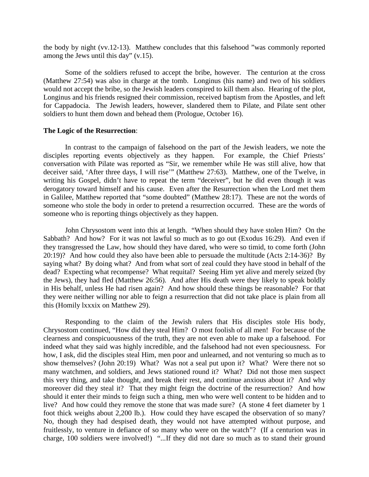the body by night (vv.12-13). Matthew concludes that this falsehood "was commonly reported among the Jews until this day" (v.15).

Some of the soldiers refused to accept the bribe, however. The centurion at the cross (Matthew 27:54) was also in charge at the tomb. Longinus (his name) and two of his soldiers would not accept the bribe, so the Jewish leaders conspired to kill them also. Hearing of the plot, Longinus and his friends resigned their commission, received baptism from the Apostles, and left for Cappadocia. The Jewish leaders, however, slandered them to Pilate, and Pilate sent other soldiers to hunt them down and behead them (Prologue, October 16).

#### **The Logic of the Resurrection**:

In contrast to the campaign of falsehood on the part of the Jewish leaders, we note the disciples reporting events objectively as they happen. For example, the Chief Priests' conversation with Pilate was reported as "Sir, we remember while He was still alive, how that deceiver said, 'After three days, I will rise'" (Matthew 27:63). Matthew, one of the Twelve, in writing his Gospel, didn't have to repeat the term "deceiver", but he did even though it was derogatory toward himself and his cause. Even after the Resurrection when the Lord met them in Galilee, Matthew reported that "some doubted" (Matthew 28:17). These are not the words of someone who stole the body in order to pretend a resurrection occurred. These are the words of someone who is reporting things objectively as they happen.

John Chrysostom went into this at length. "When should they have stolen Him? On the Sabbath? And how? For it was not lawful so much as to go out (Exodus 16:29). And even if they transgressed the Law, how should they have dared, who were so timid, to come forth (John 20:19)? And how could they also have been able to persuade the multitude (Acts 2:14-36)? By saying what? By doing what? And from what sort of zeal could they have stood in behalf of the dead? Expecting what recompense? What requital? Seeing Him yet alive and merely seized (by the Jews), they had fled (Matthew 26:56). And after His death were they likely to speak boldly in His behalf, unless He had risen again? And how should these things be reasonable? For that they were neither willing nor able to feign a resurrection that did not take place is plain from all this (Homily lxxxix on Matthew 29).

Responding to the claim of the Jewish rulers that His disciples stole His body, Chrysostom continued, "How did they steal Him? O most foolish of all men! For because of the clearness and conspicuousness of the truth, they are not even able to make up a falsehood. For indeed what they said was highly incredible, and the falsehood had not even speciousness. For how, I ask, did the disciples steal Him, men poor and unlearned, and not venturing so much as to show themselves? (John 20:19) What? Was not a seal put upon it? What? Were there not so many watchmen, and soldiers, and Jews stationed round it? What? Did not those men suspect this very thing, and take thought, and break their rest, and continue anxious about it? And why moreover did they steal it? That they might feign the doctrine of the resurrection? And how should it enter their minds to feign such a thing, men who were well content to be hidden and to live? And how could they remove the stone that was made sure? (A stone 4 feet diameter by 1 foot thick weighs about 2,200 lb.). How could they have escaped the observation of so many? No, though they had despised death, they would not have attempted without purpose, and fruitlessly, to venture in defiance of so many who were on the watch"? (If a centurion was in charge, 100 soldiers were involved!) "...If they did not dare so much as to stand their ground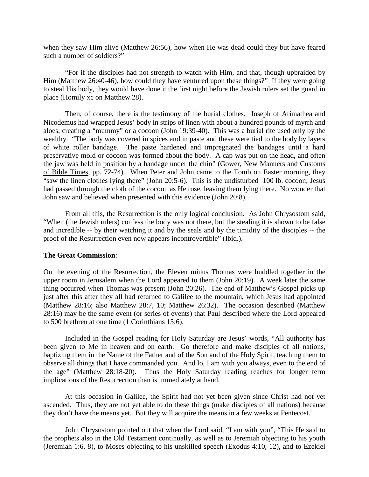when they saw Him alive (Matthew 26:56), how when He was dead could they but have feared such a number of soldiers?"

"For if the disciples had not strength to watch with Him, and that, though upbraided by Him (Matthew 26:40-46), how could they have ventured upon these things?" If they were going to steal His body, they would have done it the first night before the Jewish rulers set the guard in place (Homily xc on Matthew 28).

Then, of course, there is the testimony of the burial clothes. Joseph of Arimathea and Nicodemus had wrapped Jesus' body in strips of linen with about a hundred pounds of myrrh and aloes, creating a "mummy" or a cocoon (John 19:39-40). This was a burial rite used only by the wealthy. "The body was covered in spices and in paste and these were tied to the body by layers of white roller bandage. The paste hardened and impregnated the bandages until a hard preservative mold or cocoon was formed about the body. A cap was put on the head, and often the jaw was held in position by a bandage under the chin" (Gower, New Manners and Customs of Bible Times, pp. 72-74). When Peter and John came to the Tomb on Easter morning, they "saw the linen clothes lying there" (John 20:5-6). This is the undisturbed 100 lb. cocoon; Jesus had passed through the cloth of the cocoon as He rose, leaving them lying there. No wonder that John saw and believed when presented with this evidence (John 20:8).

From all this, the Resurrection is the only logical conclusion. As John Chrysostom said, "When (the Jewish rulers) confess the body was not there, but the stealing it is shown to be false and incredible -- by their watching it and by the seals and by the timidity of the disciples -- the proof of the Resurrection even now appears incontrovertible" (Ibid.).

#### **The Great Commission**:

On the evening of the Resurrection, the Eleven minus Thomas were huddled together in the upper room in Jerusalem when the Lord appeared to them (John 20:19). A week later the same thing occurred when Thomas was present (John 20:26). The end of Matthew's Gospel picks up just after this after they all had returned to Galilee to the mountain, which Jesus had appointed (Matthew 28:16; also Matthew 28:7, 10; Matthew 26:32). The occasion described (Matthew 28:16) may be the same event (or series of events) that Paul described where the Lord appeared to 500 brethren at one time (1 Corinthians 15:6).

Included in the Gospel reading for Holy Saturday are Jesus' words, "All authority has been given to Me in heaven and on earth. Go therefore and make disciples of all nations, baptizing them in the Name of the Father and of the Son and of the Holy Spirit, teaching them to observe all things that I have commanded you. And lo, I am with you always, even to the end of the age" (Matthew 28:18-20). Thus the Holy Saturday reading reaches for longer term implications of the Resurrection than is immediately at hand.

At this occasion in Galilee, the Spirit had not yet been given since Christ had not yet ascended. Thus, they are not yet able to do these things (make disciples of all nations) because they don't have the means yet. But they will acquire the means in a few weeks at Pentecost.

John Chrysostom pointed out that when the Lord said, "I am with you", "This He said to the prophets also in the Old Testament continually, as well as to Jeremiah objecting to his youth (Jeremiah 1:6, 8), to Moses objecting to his unskilled speech (Exodus 4:10, 12), and to Ezekiel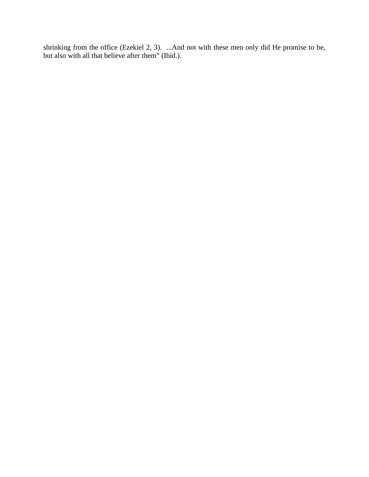shrinking from the office (Ezekiel 2, 3). ...And not with these men only did He promise to be, but also with all that believe after them" (Ibid.).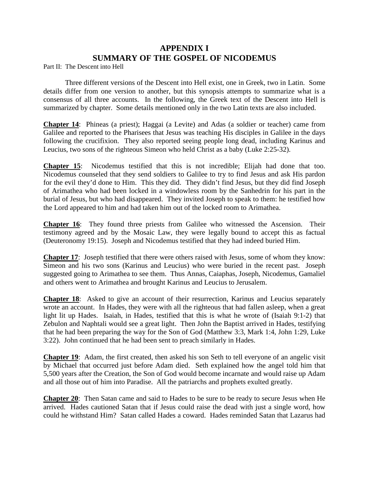## **APPENDIX I SUMMARY OF THE GOSPEL OF NICODEMUS**

Part II: The Descent into Hell

Three different versions of the Descent into Hell exist, one in Greek, two in Latin. Some details differ from one version to another, but this synopsis attempts to summarize what is a consensus of all three accounts. In the following, the Greek text of the Descent into Hell is summarized by chapter. Some details mentioned only in the two Latin texts are also included.

**Chapter 14**: Phineas (a priest); Haggai (a Levite) and Adas (a soldier or teacher) came from Galilee and reported to the Pharisees that Jesus was teaching His disciples in Galilee in the days following the crucifixion. They also reported seeing people long dead, including Karinus and Leucius, two sons of the righteous Simeon who held Christ as a baby (Luke 2:25-32).

**Chapter 15**: Nicodemus testified that this is not incredible; Elijah had done that too. Nicodemus counseled that they send soldiers to Galilee to try to find Jesus and ask His pardon for the evil they'd done to Him. This they did. They didn't find Jesus, but they did find Joseph of Arimathea who had been locked in a windowless room by the Sanhedrin for his part in the burial of Jesus, but who had disappeared. They invited Joseph to speak to them: he testified how the Lord appeared to him and had taken him out of the locked room to Arimathea.

**Chapter 16**: They found three priests from Galilee who witnessed the Ascension. Their testimony agreed and by the Mosaic Law, they were legally bound to accept this as factual (Deuteronomy 19:15). Joseph and Nicodemus testified that they had indeed buried Him.

**Chapter 17**: Joseph testified that there were others raised with Jesus, some of whom they know: Simeon and his two sons (Karinus and Leucius) who were buried in the recent past. Joseph suggested going to Arimathea to see them. Thus Annas, Caiaphas, Joseph, Nicodemus, Gamaliel and others went to Arimathea and brought Karinus and Leucius to Jerusalem.

**Chapter 18:** Asked to give an account of their resurrection, Karinus and Leucius separately wrote an account. In Hades, they were with all the righteous that had fallen asleep, when a great light lit up Hades. Isaiah, in Hades, testified that this is what he wrote of (Isaiah 9:1-2) that Zebulon and Naphtali would see a great light. Then John the Baptist arrived in Hades, testifying that he had been preparing the way for the Son of God (Matthew 3:3, Mark 1:4, John 1:29, Luke 3:22). John continued that he had been sent to preach similarly in Hades.

**Chapter 19:** Adam, the first created, then asked his son Seth to tell everyone of an angelic visit by Michael that occurred just before Adam died. Seth explained how the angel told him that 5,500 years after the Creation, the Son of God would become incarnate and would raise up Adam and all those out of him into Paradise. All the patriarchs and prophets exulted greatly.

**Chapter 20**: Then Satan came and said to Hades to be sure to be ready to secure Jesus when He arrived. Hades cautioned Satan that if Jesus could raise the dead with just a single word, how could he withstand Him? Satan called Hades a coward. Hades reminded Satan that Lazarus had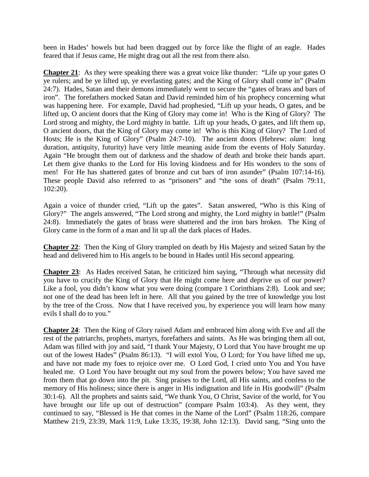been in Hades' bowels but had been dragged out by force like the flight of an eagle. Hades feared that if Jesus came, He might drag out all the rest from there also.

**Chapter 21**: As they were speaking there was a great voice like thunder: "Life up your gates O ye rulers; and be ye lifted up, ye everlasting gates; and the King of Glory shall come in" (Psalm 24:7). Hades, Satan and their demons immediately went to secure the "gates of brass and bars of iron". The forefathers mocked Satan and David reminded him of his prophecy concerning what was happening here. For example, David had prophesied, "Lift up your heads, O gates, and be lifted up, O ancient doors that the King of Glory may come in! Who is the King of Glory? The Lord strong and mighty, the Lord mighty in battle. Lift up your heads, O gates, and lift them up, O ancient doors, that the King of Glory may come in! Who is this King of Glory? The Lord of Hosts; He is the King of Glory" (Psalm 24:7-10). The ancient doors (Hebrew: *olam*: long duration, antiquity, futurity) have very little meaning aside from the events of Holy Saturday. Again "He brought them out of darkness and the shadow of death and broke their bands apart. Let them give thanks to the Lord for His loving kindness and for His wonders to the sons of men! For He has shattered gates of bronze and cut bars of iron asunder" (Psalm 107:14-16). These people David also referred to as "prisoners" and "the sons of death" (Psalm 79:11, 102:20).

Again a voice of thunder cried, "Lift up the gates". Satan answered, "Who is this King of Glory?" The angels answered, "The Lord strong and mighty, the Lord mighty in battle!" (Psalm 24:8). Immediately the gates of brass were shattered and the iron bars broken. The King of Glory came in the form of a man and lit up all the dark places of Hades.

**Chapter 22**: Then the King of Glory trampled on death by His Majesty and seized Satan by the head and delivered him to His angels to be bound in Hades until His second appearing.

**Chapter 23**: As Hades received Satan, he criticized him saying, "Through what necessity did you have to crucify the King of Glory that He might come here and deprive us of our power? Like a fool, you didn't know what you were doing (compare 1 Corinthians 2:8). Look and see; not one of the dead has been left in here. All that you gained by the tree of knowledge you lost by the tree of the Cross. Now that I have received you, by experience you will learn how many evils I shall do to you."

**Chapter 24**: Then the King of Glory raised Adam and embraced him along with Eve and all the rest of the patriarchs, prophets, martyrs, forefathers and saints. As He was bringing them all out, Adam was filled with joy and said, "I thank Your Majesty, O Lord that You have brought me up out of the lowest Hades" (Psalm 86:13). "I will extol You, O Lord; for You have lifted me up, and have not made my foes to rejoice over me. O Lord God, I cried unto You and You have healed me. O Lord You have brought out my soul from the powers below; You have saved me from them that go down into the pit. Sing praises to the Lord, all His saints, and confess to the memory of His holiness; since there is anger in His indignation and life in His goodwill" (Psalm 30:1-6). All the prophets and saints said, "We thank You, O Christ, Savior of the world, for You have brought our life up out of destruction" (compare Psalm 103:4). As they went, they continued to say, "Blessed is He that comes in the Name of the Lord" (Psalm 118:26, compare Matthew 21:9, 23:39, Mark 11:9, Luke 13:35, 19:38, John 12:13). David sang, "Sing unto the